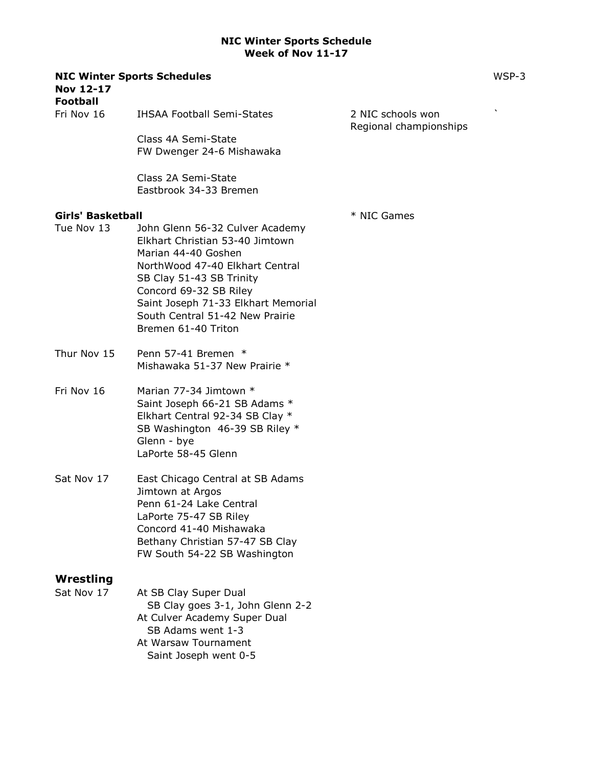| <b>Nov 12-17</b><br><b>Football</b>    | <b>NIC Winter Sports Schedules</b>                                                                                                                                                                                                                                                  |                                             | WSP-3 |
|----------------------------------------|-------------------------------------------------------------------------------------------------------------------------------------------------------------------------------------------------------------------------------------------------------------------------------------|---------------------------------------------|-------|
| Fri Nov 16                             | <b>IHSAA Football Semi-States</b>                                                                                                                                                                                                                                                   | 2 NIC schools won<br>Regional championships |       |
|                                        | Class 4A Semi-State<br>FW Dwenger 24-6 Mishawaka                                                                                                                                                                                                                                    |                                             |       |
|                                        | Class 2A Semi-State<br>Eastbrook 34-33 Bremen                                                                                                                                                                                                                                       |                                             |       |
| <b>Girls' Basketball</b><br>Tue Nov 13 | John Glenn 56-32 Culver Academy<br>Elkhart Christian 53-40 Jimtown<br>Marian 44-40 Goshen<br>NorthWood 47-40 Elkhart Central<br>SB Clay 51-43 SB Trinity<br>Concord 69-32 SB Riley<br>Saint Joseph 71-33 Elkhart Memorial<br>South Central 51-42 New Prairie<br>Bremen 61-40 Triton | * NIC Games                                 |       |
| Thur Nov 15                            | Penn 57-41 Bremen *<br>Mishawaka 51-37 New Prairie *                                                                                                                                                                                                                                |                                             |       |
| Fri Nov 16                             | Marian 77-34 Jimtown *<br>Saint Joseph 66-21 SB Adams *<br>Elkhart Central 92-34 SB Clay *<br>SB Washington 46-39 SB Riley *<br>Glenn - bye<br>LaPorte 58-45 Glenn                                                                                                                  |                                             |       |
| Sat Nov 17                             | East Chicago Central at SB Adams<br>Jimtown at Argos<br>Penn 61-24 Lake Central<br>LaPorte 75-47 SB Riley<br>Concord 41-40 Mishawaka<br>Bethany Christian 57-47 SB Clay<br>FW South 54-22 SB Washington                                                                             |                                             |       |
| Wrestling<br>Sat Nov 17                | At SB Clay Super Dual<br>SB Clay goes 3-1, John Glenn 2-2<br>At Culver Academy Super Dual<br>SB Adams went 1-3<br>At Warsaw Tournament<br>Saint Joseph went 0-5                                                                                                                     |                                             |       |